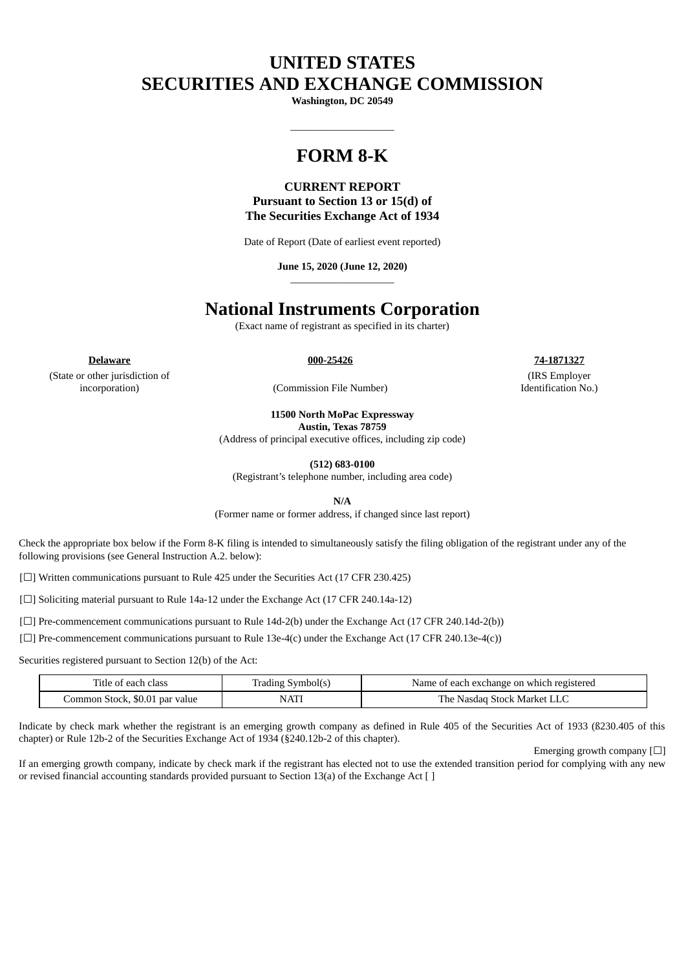# **UNITED STATES SECURITIES AND EXCHANGE COMMISSION**

**Washington, DC 20549**

 $\_$ 

## **FORM 8-K**

### **CURRENT REPORT Pursuant to Section 13 or 15(d) of The Securities Exchange Act of 1934**

Date of Report (Date of earliest event reported)

**June 15, 2020 (June 12, 2020)** \_\_\_\_\_\_\_\_\_\_\_\_\_\_\_\_\_\_\_\_

## **National Instruments Corporation**

(Exact name of registrant as specified in its charter)

**Delaware 000-25426 74-1871327**

(State or other jurisdiction of incorporation) (Commission File Number)

(IRS Employer Identification No.)

**11500 North MoPac Expressway**

**Austin, Texas 78759**

(Address of principal executive offices, including zip code)

**(512) 683-0100**

(Registrant's telephone number, including area code)

**N/A**

(Former name or former address, if changed since last report)

Check the appropriate box below if the Form 8-K filing is intended to simultaneously satisfy the filing obligation of the registrant under any of the following provisions (see General Instruction A.2. below):

[☐] Written communications pursuant to Rule 425 under the Securities Act (17 CFR 230.425)

[□] Soliciting material pursuant to Rule 14a-12 under the Exchange Act (17 CFR 240.14a-12)

[ $\Box$ ] Pre-commencement communications pursuant to Rule 14d-2(b) under the Exchange Act (17 CFR 240.14d-2(b))

[ $\square$ ] Pre-commencement communications pursuant to Rule 13e-4(c) under the Exchange Act (17 CFR 240.13e-4(c))

Securities registered pursuant to Section 12(b) of the Act:

| Title of each<br>ı Class       | Symbol(s<br>Trading | Name of each exchange on which registered |
|--------------------------------|---------------------|-------------------------------------------|
| Common Stock, \$0.01 par value | NATI                | `LLC<br>The .<br>Stock Market I<br>Nasdad |

Indicate by check mark whether the registrant is an emerging growth company as defined in Rule 405 of the Securities Act of 1933 (ß230.405 of this chapter) or Rule 12b-2 of the Securities Exchange Act of 1934 (§240.12b-2 of this chapter).

Emerging growth company  $[\Box]$ 

If an emerging growth company, indicate by check mark if the registrant has elected not to use the extended transition period for complying with any new or revised financial accounting standards provided pursuant to Section 13(a) of the Exchange Act [ ]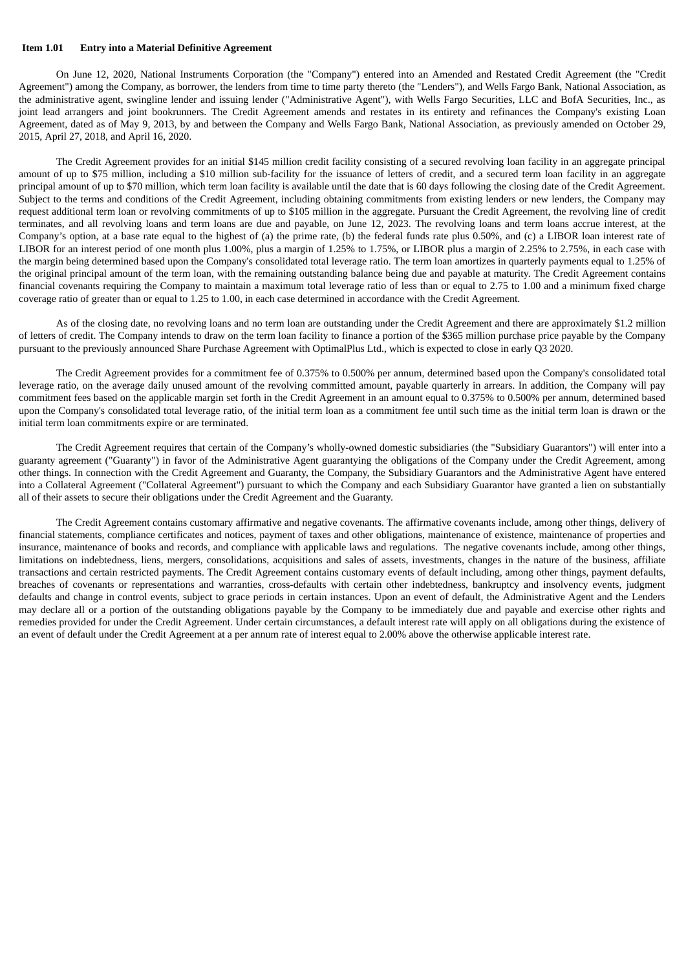#### **Item 1.01 Entry into a Material Definitive Agreement**

On June 12, 2020, National Instruments Corporation (the "Company") entered into an Amended and Restated Credit Agreement (the "Credit Agreement") among the Company, as borrower, the lenders from time to time party thereto (the "Lenders"), and Wells Fargo Bank, National Association, as the administrative agent, swingline lender and issuing lender ("Administrative Agent"), with Wells Fargo Securities, LLC and BofA Securities, Inc., as joint lead arrangers and joint bookrunners. The Credit Agreement amends and restates in its entirety and refinances the Company's existing Loan Agreement, dated as of May 9, 2013, by and between the Company and Wells Fargo Bank, National Association, as previously amended on October 29, 2015, April 27, 2018, and April 16, 2020.

The Credit Agreement provides for an initial \$145 million credit facility consisting of a secured revolving loan facility in an aggregate principal amount of up to \$75 million, including a \$10 million sub-facility for the issuance of letters of credit, and a secured term loan facility in an aggregate principal amount of up to \$70 million, which term loan facility is available until the date that is 60 days following the closing date of the Credit Agreement. Subject to the terms and conditions of the Credit Agreement, including obtaining commitments from existing lenders or new lenders, the Company may request additional term loan or revolving commitments of up to \$105 million in the aggregate. Pursuant the Credit Agreement, the revolving line of credit terminates, and all revolving loans and term loans are due and payable, on June 12, 2023. The revolving loans and term loans accrue interest, at the Company's option, at a base rate equal to the highest of (a) the prime rate, (b) the federal funds rate plus 0.50%, and (c) a LIBOR loan interest rate of LIBOR for an interest period of one month plus 1.00%, plus a margin of 1.25% to 1.75%, or LIBOR plus a margin of 2.25% to 2.75%, in each case with the margin being determined based upon the Company's consolidated total leverage ratio. The term loan amortizes in quarterly payments equal to 1.25% of the original principal amount of the term loan, with the remaining outstanding balance being due and payable at maturity. The Credit Agreement contains financial covenants requiring the Company to maintain a maximum total leverage ratio of less than or equal to 2.75 to 1.00 and a minimum fixed charge coverage ratio of greater than or equal to 1.25 to 1.00, in each case determined in accordance with the Credit Agreement.

As of the closing date, no revolving loans and no term loan are outstanding under the Credit Agreement and there are approximately \$1.2 million of letters of credit. The Company intends to draw on the term loan facility to finance a portion of the \$365 million purchase price payable by the Company pursuant to the previously announced Share Purchase Agreement with OptimalPlus Ltd., which is expected to close in early Q3 2020.

The Credit Agreement provides for a commitment fee of 0.375% to 0.500% per annum, determined based upon the Company's consolidated total leverage ratio, on the average daily unused amount of the revolving committed amount, payable quarterly in arrears. In addition, the Company will pay commitment fees based on the applicable margin set forth in the Credit Agreement in an amount equal to 0.375% to 0.500% per annum, determined based upon the Company's consolidated total leverage ratio, of the initial term loan as a commitment fee until such time as the initial term loan is drawn or the initial term loan commitments expire or are terminated.

The Credit Agreement requires that certain of the Company's wholly-owned domestic subsidiaries (the "Subsidiary Guarantors") will enter into a guaranty agreement ("Guaranty") in favor of the Administrative Agent guarantying the obligations of the Company under the Credit Agreement, among other things. In connection with the Credit Agreement and Guaranty, the Company, the Subsidiary Guarantors and the Administrative Agent have entered into a Collateral Agreement ("Collateral Agreement") pursuant to which the Company and each Subsidiary Guarantor have granted a lien on substantially all of their assets to secure their obligations under the Credit Agreement and the Guaranty.

The Credit Agreement contains customary affirmative and negative covenants. The affirmative covenants include, among other things, delivery of financial statements, compliance certificates and notices, payment of taxes and other obligations, maintenance of existence, maintenance of properties and insurance, maintenance of books and records, and compliance with applicable laws and regulations. The negative covenants include, among other things, limitations on indebtedness, liens, mergers, consolidations, acquisitions and sales of assets, investments, changes in the nature of the business, affiliate transactions and certain restricted payments. The Credit Agreement contains customary events of default including, among other things, payment defaults, breaches of covenants or representations and warranties, cross-defaults with certain other indebtedness, bankruptcy and insolvency events, judgment defaults and change in control events, subject to grace periods in certain instances. Upon an event of default, the Administrative Agent and the Lenders may declare all or a portion of the outstanding obligations payable by the Company to be immediately due and payable and exercise other rights and remedies provided for under the Credit Agreement. Under certain circumstances, a default interest rate will apply on all obligations during the existence of an event of default under the Credit Agreement at a per annum rate of interest equal to 2.00% above the otherwise applicable interest rate.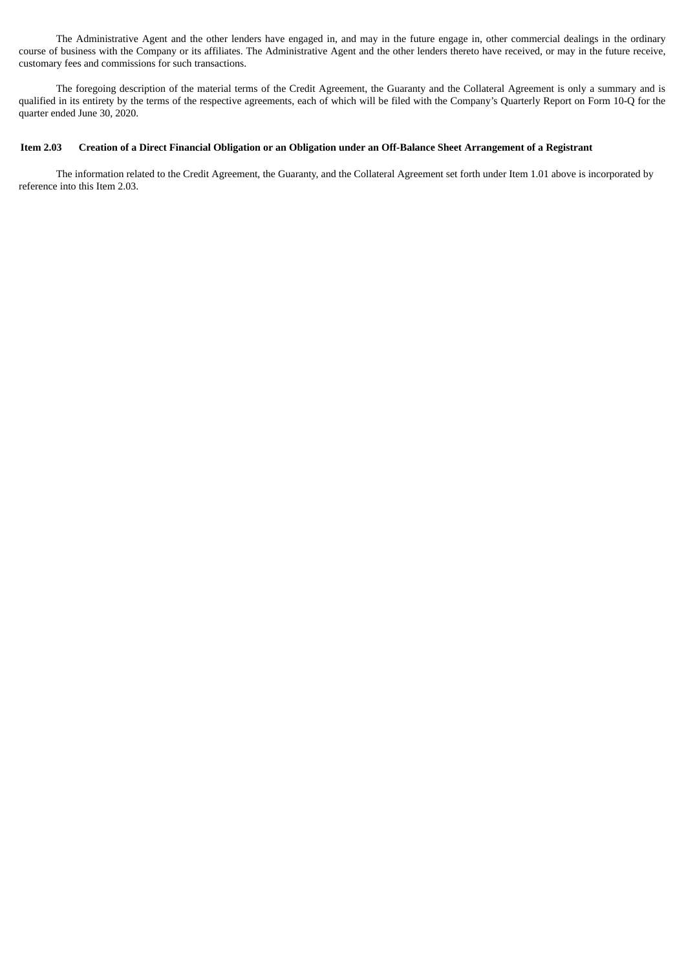The Administrative Agent and the other lenders have engaged in, and may in the future engage in, other commercial dealings in the ordinary course of business with the Company or its affiliates. The Administrative Agent and the other lenders thereto have received, or may in the future receive, customary fees and commissions for such transactions.

The foregoing description of the material terms of the Credit Agreement, the Guaranty and the Collateral Agreement is only a summary and is qualified in its entirety by the terms of the respective agreements, each of which will be filed with the Company's Quarterly Report on Form 10-Q for the quarter ended June 30, 2020.

#### Item 2.03 Creation of a Direct Financial Obligation or an Obligation under an Off-Balance Sheet Arrangement of a Registrant

The information related to the Credit Agreement, the Guaranty, and the Collateral Agreement set forth under Item 1.01 above is incorporated by reference into this Item 2.03.